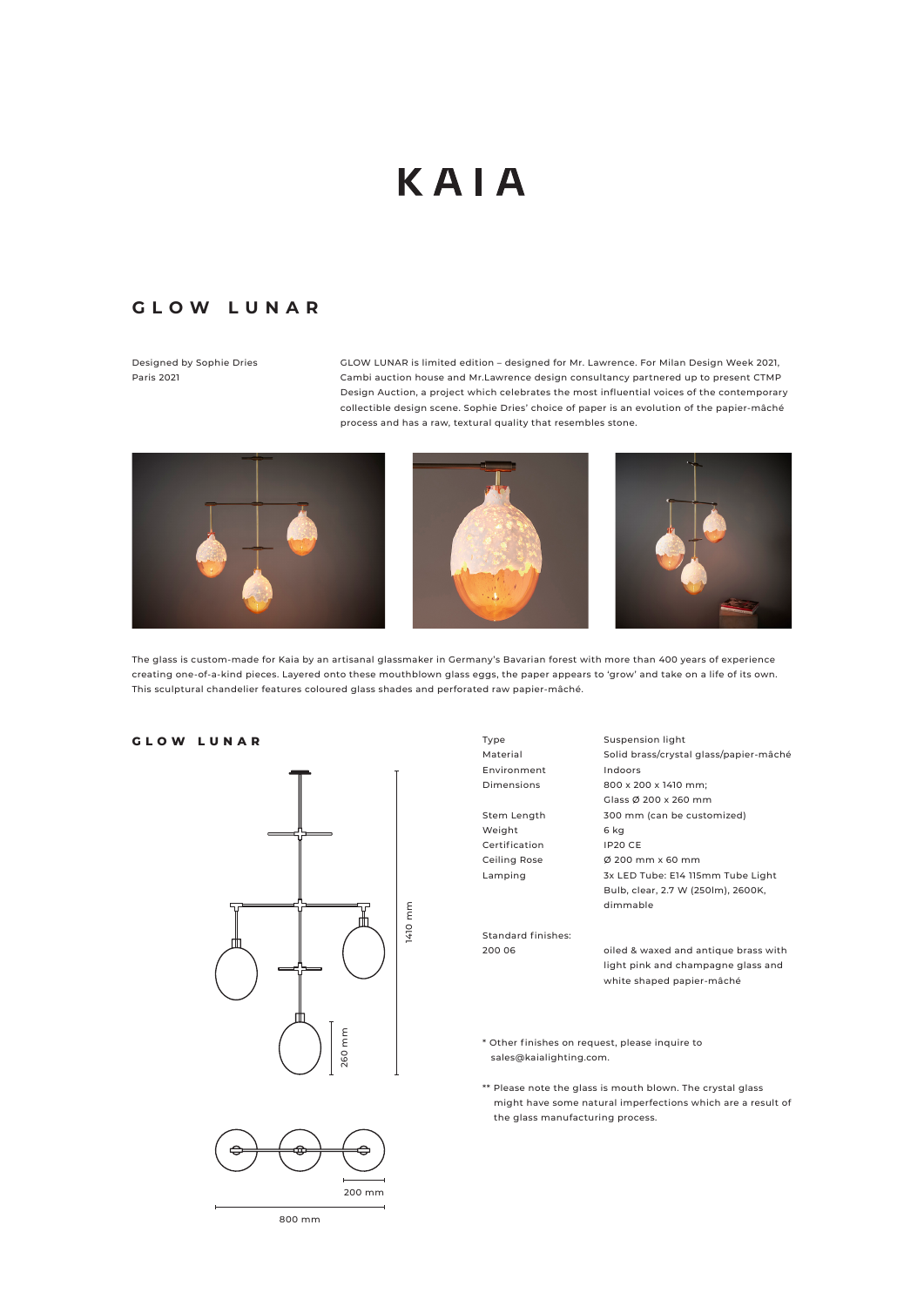## KAIA

## **GLOW LUNAR**

Designed by Sophie Dries Paris 2021

GLOW LUNAR is limited edition – designed for Mr. Lawrence. For Milan Design Week 2021, Cambi auction house and Mr.Lawrence design consultancy partnered up to present CTMP Design Auction, a project which celebrates the most influential voices of the contemporary collectible design scene. Sophie Dries' choice of paper is an evolution of the papier-mâché process and has a raw, textural quality that resembles stone.



The glass is custom-made for Kaia by an artisanal glassmaker in Germany's Bavarian forest with more than 400 years of experience creating one-of-a-kind pieces. Layered onto these mouthblown glass eggs, the paper appears to 'grow' and take on a life of its own. This sculptural chandelier features coloured glass shades and perforated raw papier-mâché.

**GLOW LUNAR**





Solid brass/crystal glass/papier-mâché Indoors 800 x 200 x 1410 mm; Glass Ø 200 x 260 mm 300 mm (can be customized) 6 kg IP20 CE Ø 200 mm x 60 mm 3x LED Tube: E14 115mm Tube Light Bulb, clear, 2.7 W (250lm), 2600K, dimmable

Suspension light

Standard finishes: 200 06

oiled & waxed and antique brass with light pink and champagne glass and white shaped papier-mâché

\* Other finishes on request, please inquire to sales@kaialighting.com.

\*\* Please note the glass is mouth blown. The crystal glass might have some natural imperfections which are a result of the glass manufacturing process.



800 mm